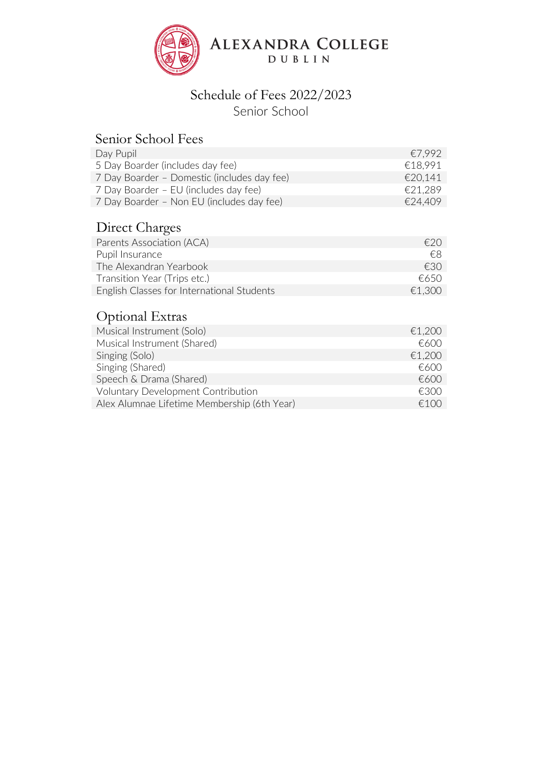

# Schedule of Fees 2022/2023

Senior School

## Senior School Fees

| Day Pupil                                   | €7.992  |
|---------------------------------------------|---------|
| 5 Day Boarder (includes day fee)            | €18.991 |
| 7 Day Boarder - Domestic (includes day fee) | €20.141 |
| 7 Day Boarder – EU (includes day fee)       | €21.289 |
| 7 Day Boarder - Non EU (includes day fee)   | €24.409 |

# Direct Charges

| f(2)   |
|--------|
| €8     |
| £30    |
| €650   |
| €1.300 |
|        |

## Optional Extras

| Musical Instrument (Solo)                   | €1,200 |
|---------------------------------------------|--------|
| Musical Instrument (Shared)                 | f(600) |
| Singing (Solo)                              | €1,200 |
| Singing (Shared)                            | f(600) |
| Speech & Drama (Shared)                     | €600   |
| <b>Voluntary Development Contribution</b>   | €300   |
| Alex Alumnae Lifetime Membership (6th Year) | £100   |